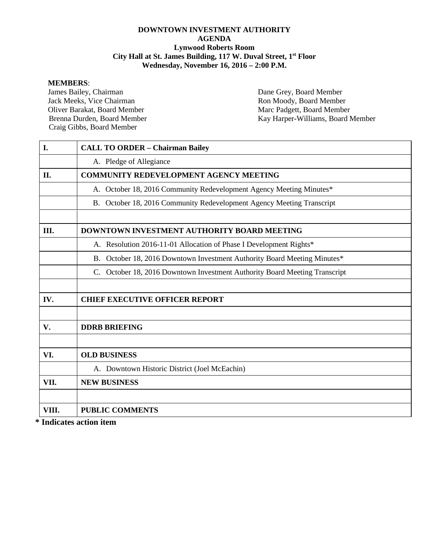#### **DOWNTOWN INVESTMENT AUTHORITY AGENDA Lynwood Roberts Room City Hall at St. James Building, 117 W. Duval Street, 1st Floor Wednesday, November 16, 2016 – 2:00 P.M.**

#### **MEMBERS**:

James Bailey, Chairman Dane Grey, Board Member<br>Jack Meeks, Vice Chairman Ron Moody, Board Member Jack Meeks, Vice Chairman Ron Moody, Board Member<br>
Oliver Barakat. Board Member<br>
Marc Padgett. Board Member Oliver Barakat, Board Member<br>
Brenna Durden, Board Member<br>
Marc Padgett, Board Member<br>
Kay Harper-Williams, Board Member Craig Gibbs, Board Member

Kay Harper-Williams, Board Member

| I.    | <b>CALL TO ORDER - Chairman Bailey</b>                                        |
|-------|-------------------------------------------------------------------------------|
|       | A. Pledge of Allegiance                                                       |
| II.   | <b>COMMUNITY REDEVELOPMENT AGENCY MEETING</b>                                 |
|       | A. October 18, 2016 Community Redevelopment Agency Meeting Minutes*           |
|       | B. October 18, 2016 Community Redevelopment Agency Meeting Transcript         |
|       |                                                                               |
| Ш.    | DOWNTOWN INVESTMENT AUTHORITY BOARD MEETING                                   |
|       | A. Resolution 2016-11-01 Allocation of Phase I Development Rights*            |
|       | B. October 18, 2016 Downtown Investment Authority Board Meeting Minutes*      |
|       | October 18, 2016 Downtown Investment Authority Board Meeting Transcript<br>C. |
|       |                                                                               |
| IV.   | <b>CHIEF EXECUTIVE OFFICER REPORT</b>                                         |
|       |                                                                               |
| V.    | <b>DDRB BRIEFING</b>                                                          |
|       |                                                                               |
| VI.   | <b>OLD BUSINESS</b>                                                           |
|       | A. Downtown Historic District (Joel McEachin)                                 |
| VII.  | <b>NEW BUSINESS</b>                                                           |
|       |                                                                               |
| VIII. | <b>PUBLIC COMMENTS</b>                                                        |
|       |                                                                               |

**\* Indicates action item**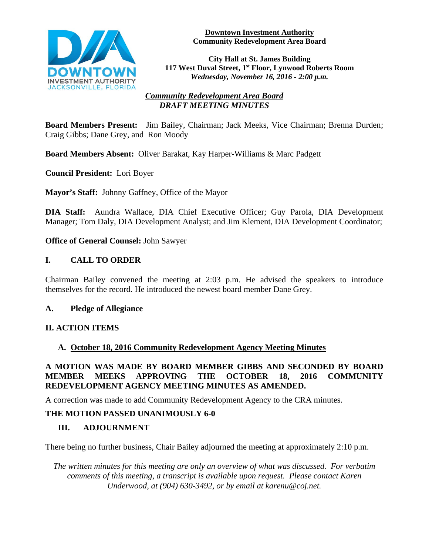

#### **Downtown Investment Authority Community Redevelopment Area Board**

**City Hall at St. James Building 117 West Duval Street, 1st Floor, Lynwood Roberts Room** *Wednesday, November 16, 2016 - 2:00 p.m.*

## *Community Redevelopment Area Board DRAFT MEETING MINUTES*

**Board Members Present:** Jim Bailey, Chairman; Jack Meeks, Vice Chairman; Brenna Durden; Craig Gibbs; Dane Grey, and Ron Moody

**Board Members Absent:** Oliver Barakat, Kay Harper-Williams & Marc Padgett

**Council President:** Lori Boyer

**Mayor's Staff:** Johnny Gaffney, Office of the Mayor

**DIA Staff:** Aundra Wallace, DIA Chief Executive Officer; Guy Parola, DIA Development Manager; Tom Daly, DIA Development Analyst; and Jim Klement, DIA Development Coordinator;

**Office of General Counsel:** John Sawyer

## **I. CALL TO ORDER**

Chairman Bailey convened the meeting at 2:03 p.m. He advised the speakers to introduce themselves for the record. He introduced the newest board member Dane Grey.

#### **A. Pledge of Allegiance**

## **II. ACTION ITEMS**

#### **A. October 18, 2016 Community Redevelopment Agency Meeting Minutes**

## **A MOTION WAS MADE BY BOARD MEMBER GIBBS AND SECONDED BY BOARD MEMBER MEEKS APPROVING THE OCTOBER 18, 2016 COMMUNITY REDEVELOPMENT AGENCY MEETING MINUTES AS AMENDED.**

A correction was made to add Community Redevelopment Agency to the CRA minutes.

## **THE MOTION PASSED UNANIMOUSLY 6-0**

## **III. ADJOURNMENT**

There being no further business, Chair Bailey adjourned the meeting at approximately 2:10 p.m.

*The written minutes for this meeting are only an overview of what was discussed. For verbatim comments of this meeting, a transcript is available upon request. Please contact Karen Underwood, at (904) 630-3492, or by email at karenu@coj.net.*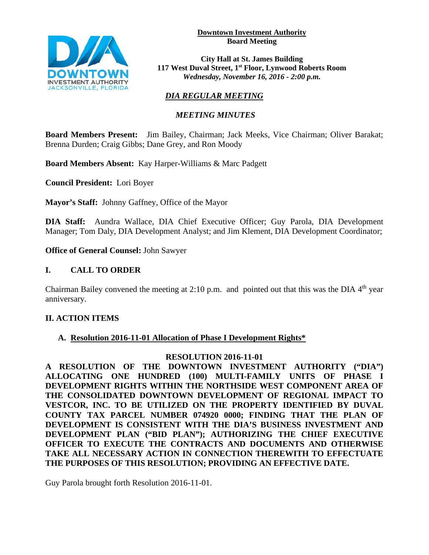**Downtown Investment Authority Board Meeting** 



**City Hall at St. James Building 117 West Duval Street, 1st Floor, Lynwood Roberts Room** *Wednesday, November 16, 2016 - 2:00 p.m.*

# *DIA REGULAR MEETING*

## *MEETING MINUTES*

**Board Members Present:** Jim Bailey, Chairman; Jack Meeks, Vice Chairman; Oliver Barakat; Brenna Durden; Craig Gibbs; Dane Grey, and Ron Moody

**Board Members Absent:** Kay Harper-Williams & Marc Padgett

**Council President:** Lori Boyer

**Mayor's Staff:** Johnny Gaffney, Office of the Mayor

**DIA Staff:** Aundra Wallace, DIA Chief Executive Officer; Guy Parola, DIA Development Manager; Tom Daly, DIA Development Analyst; and Jim Klement, DIA Development Coordinator;

**Office of General Counsel:** John Sawyer

## **I. CALL TO ORDER**

Chairman Bailey convened the meeting at 2:10 p.m. and pointed out that this was the DIA  $4<sup>th</sup>$  year anniversary.

## **II. ACTION ITEMS**

## **A. Resolution 2016-11-01 Allocation of Phase I Development Rights\***

#### **RESOLUTION 2016-11-01**

**A RESOLUTION OF THE DOWNTOWN INVESTMENT AUTHORITY ("DIA") ALLOCATING ONE HUNDRED (100) MULTI-FAMILY UNITS OF PHASE I DEVELOPMENT RIGHTS WITHIN THE NORTHSIDE WEST COMPONENT AREA OF THE CONSOLIDATED DOWNTOWN DEVELOPMENT OF REGIONAL IMPACT TO VESTCOR, INC. TO BE UTILIZED ON THE PROPERTY IDENTIFIED BY DUVAL COUNTY TAX PARCEL NUMBER 074920 0000; FINDING THAT THE PLAN OF DEVELOPMENT IS CONSISTENT WITH THE DIA'S BUSINESS INVESTMENT AND DEVELOPMENT PLAN ("BID PLAN"); AUTHORIZING THE CHIEF EXECUTIVE OFFICER TO EXECUTE THE CONTRACTS AND DOCUMENTS AND OTHERWISE TAKE ALL NECESSARY ACTION IN CONNECTION THEREWITH TO EFFECTUATE THE PURPOSES OF THIS RESOLUTION; PROVIDING AN EFFECTIVE DATE.** 

Guy Parola brought forth Resolution 2016-11-01.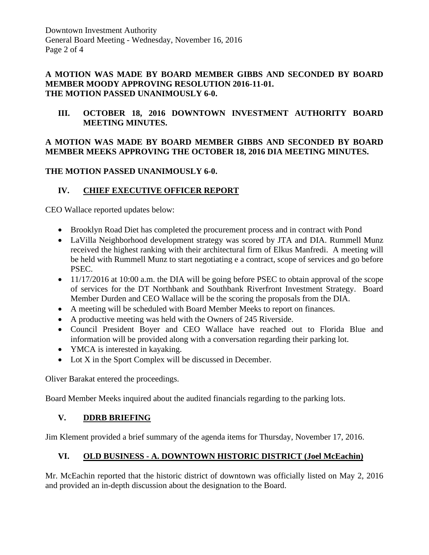#### **A MOTION WAS MADE BY BOARD MEMBER GIBBS AND SECONDED BY BOARD MEMBER MOODY APPROVING RESOLUTION 2016-11-01. THE MOTION PASSED UNANIMOUSLY 6-0.**

**III. OCTOBER 18, 2016 DOWNTOWN INVESTMENT AUTHORITY BOARD MEETING MINUTES.** 

## **A MOTION WAS MADE BY BOARD MEMBER GIBBS AND SECONDED BY BOARD MEMBER MEEKS APPROVING THE OCTOBER 18, 2016 DIA MEETING MINUTES.**

## **THE MOTION PASSED UNANIMOUSLY 6-0.**

# **IV. CHIEF EXECUTIVE OFFICER REPORT**

CEO Wallace reported updates below:

- Brooklyn Road Diet has completed the procurement process and in contract with Pond
- LaVilla Neighborhood development strategy was scored by JTA and DIA. Rummell Munz received the highest ranking with their architectural firm of Elkus Manfredi. A meeting will be held with Rummell Munz to start negotiating e a contract, scope of services and go before PSEC.
- 11/17/2016 at 10:00 a.m. the DIA will be going before PSEC to obtain approval of the scope of services for the DT Northbank and Southbank Riverfront Investment Strategy. Board Member Durden and CEO Wallace will be the scoring the proposals from the DIA.
- A meeting will be scheduled with Board Member Meeks to report on finances.
- A productive meeting was held with the Owners of 245 Riverside.
- Council President Boyer and CEO Wallace have reached out to Florida Blue and information will be provided along with a conversation regarding their parking lot.
- YMCA is interested in kayaking.
- Lot X in the Sport Complex will be discussed in December.

Oliver Barakat entered the proceedings.

Board Member Meeks inquired about the audited financials regarding to the parking lots.

## **V. DDRB BRIEFING**

Jim Klement provided a brief summary of the agenda items for Thursday, November 17, 2016.

# **VI. OLD BUSINESS - A. DOWNTOWN HISTORIC DISTRICT (Joel McEachin)**

Mr. McEachin reported that the historic district of downtown was officially listed on May 2, 2016 and provided an in-depth discussion about the designation to the Board.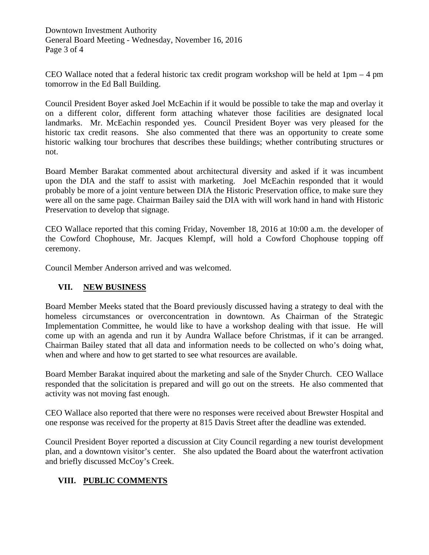Downtown Investment Authority General Board Meeting - Wednesday, November 16, 2016 Page 3 of 4

CEO Wallace noted that a federal historic tax credit program workshop will be held at  $1pm - 4$  pm tomorrow in the Ed Ball Building.

Council President Boyer asked Joel McEachin if it would be possible to take the map and overlay it on a different color, different form attaching whatever those facilities are designated local landmarks. Mr. McEachin responded yes. Council President Boyer was very pleased for the historic tax credit reasons. She also commented that there was an opportunity to create some historic walking tour brochures that describes these buildings; whether contributing structures or not.

Board Member Barakat commented about architectural diversity and asked if it was incumbent upon the DIA and the staff to assist with marketing. Joel McEachin responded that it would probably be more of a joint venture between DIA the Historic Preservation office, to make sure they were all on the same page. Chairman Bailey said the DIA with will work hand in hand with Historic Preservation to develop that signage.

CEO Wallace reported that this coming Friday, November 18, 2016 at 10:00 a.m. the developer of the Cowford Chophouse, Mr. Jacques Klempf, will hold a Cowford Chophouse topping off ceremony.

Council Member Anderson arrived and was welcomed.

## **VII. NEW BUSINESS**

Board Member Meeks stated that the Board previously discussed having a strategy to deal with the homeless circumstances or overconcentration in downtown. As Chairman of the Strategic Implementation Committee, he would like to have a workshop dealing with that issue. He will come up with an agenda and run it by Aundra Wallace before Christmas, if it can be arranged. Chairman Bailey stated that all data and information needs to be collected on who's doing what, when and where and how to get started to see what resources are available.

Board Member Barakat inquired about the marketing and sale of the Snyder Church. CEO Wallace responded that the solicitation is prepared and will go out on the streets. He also commented that activity was not moving fast enough.

CEO Wallace also reported that there were no responses were received about Brewster Hospital and one response was received for the property at 815 Davis Street after the deadline was extended.

Council President Boyer reported a discussion at City Council regarding a new tourist development plan, and a downtown visitor's center. She also updated the Board about the waterfront activation and briefly discussed McCoy's Creek.

## **VIII. PUBLIC COMMENTS**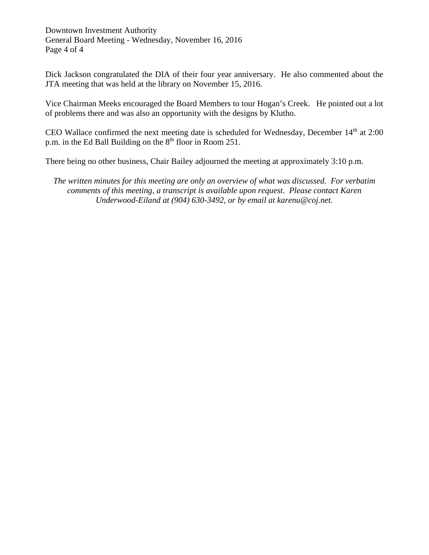Downtown Investment Authority General Board Meeting - Wednesday, November 16, 2016 Page 4 of 4

Dick Jackson congratulated the DIA of their four year anniversary. He also commented about the JTA meeting that was held at the library on November 15, 2016.

Vice Chairman Meeks encouraged the Board Members to tour Hogan's Creek. He pointed out a lot of problems there and was also an opportunity with the designs by Klutho.

CEO Wallace confirmed the next meeting date is scheduled for Wednesday, December  $14<sup>th</sup>$  at 2:00 p.m. in the Ed Ball Building on the 8<sup>th</sup> floor in Room 251.

There being no other business, Chair Bailey adjourned the meeting at approximately 3:10 p.m.

*The written minutes for this meeting are only an overview of what was discussed. For verbatim comments of this meeting, a transcript is available upon request. Please contact Karen Underwood-Eiland at (904) 630-3492, or by email at karenu@coj.net.*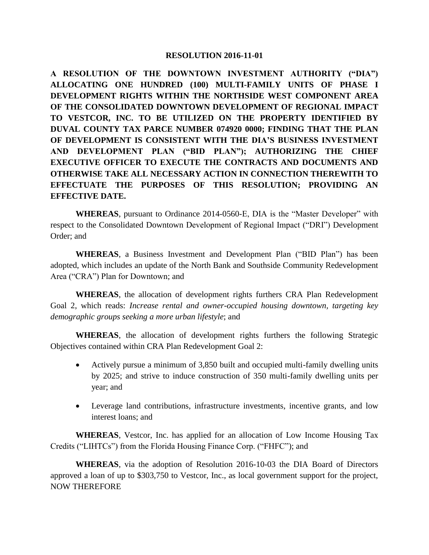#### **RESOLUTION 2016-11-01**

**A RESOLUTION OF THE DOWNTOWN INVESTMENT AUTHORITY ("DIA") ALLOCATING ONE HUNDRED (100) MULTI-FAMILY UNITS OF PHASE I DEVELOPMENT RIGHTS WITHIN THE NORTHSIDE WEST COMPONENT AREA OF THE CONSOLIDATED DOWNTOWN DEVELOPMENT OF REGIONAL IMPACT TO VESTCOR, INC. TO BE UTILIZED ON THE PROPERTY IDENTIFIED BY DUVAL COUNTY TAX PARCE NUMBER 074920 0000; FINDING THAT THE PLAN OF DEVELOPMENT IS CONSISTENT WITH THE DIA'S BUSINESS INVESTMENT AND DEVELOPMENT PLAN ("BID PLAN"); AUTHORIZING THE CHIEF EXECUTIVE OFFICER TO EXECUTE THE CONTRACTS AND DOCUMENTS AND OTHERWISE TAKE ALL NECESSARY ACTION IN CONNECTION THEREWITH TO EFFECTUATE THE PURPOSES OF THIS RESOLUTION; PROVIDING AN EFFECTIVE DATE.**

**WHEREAS**, pursuant to Ordinance 2014-0560-E, DIA is the "Master Developer" with respect to the Consolidated Downtown Development of Regional Impact ("DRI") Development Order; and

**WHEREAS**, a Business Investment and Development Plan ("BID Plan") has been adopted, which includes an update of the North Bank and Southside Community Redevelopment Area ("CRA") Plan for Downtown; and

**WHEREAS**, the allocation of development rights furthers CRA Plan Redevelopment Goal 2, which reads: *Increase rental and owner-occupied housing downtown, targeting key demographic groups seeking a more urban lifestyle*; and

**WHEREAS**, the allocation of development rights furthers the following Strategic Objectives contained within CRA Plan Redevelopment Goal 2:

- Actively pursue a minimum of 3,850 built and occupied multi-family dwelling units by 2025; and strive to induce construction of 350 multi-family dwelling units per year; and
- Leverage land contributions, infrastructure investments, incentive grants, and low interest loans; and

**WHEREAS**, Vestcor, Inc. has applied for an allocation of Low Income Housing Tax Credits ("LIHTCs") from the Florida Housing Finance Corp. ("FHFC"); and

**WHEREAS**, via the adoption of Resolution 2016-10-03 the DIA Board of Directors approved a loan of up to \$303,750 to Vestcor, Inc., as local government support for the project, NOW THEREFORE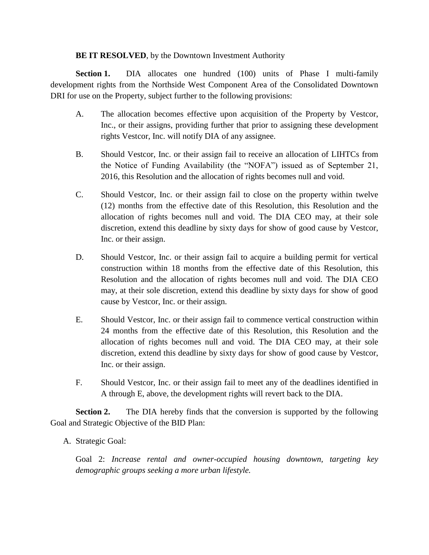#### **BE IT RESOLVED**, by the Downtown Investment Authority

**Section 1.** DIA allocates one hundred (100) units of Phase I multi-family development rights from the Northside West Component Area of the Consolidated Downtown DRI for use on the Property, subject further to the following provisions:

- A. The allocation becomes effective upon acquisition of the Property by Vestcor, Inc., or their assigns, providing further that prior to assigning these development rights Vestcor, Inc. will notify DIA of any assignee.
- B. Should Vestcor, Inc. or their assign fail to receive an allocation of LIHTCs from the Notice of Funding Availability (the "NOFA") issued as of September 21, 2016, this Resolution and the allocation of rights becomes null and void.
- C. Should Vestcor, Inc. or their assign fail to close on the property within twelve (12) months from the effective date of this Resolution, this Resolution and the allocation of rights becomes null and void. The DIA CEO may, at their sole discretion, extend this deadline by sixty days for show of good cause by Vestcor, Inc. or their assign.
- D. Should Vestcor, Inc. or their assign fail to acquire a building permit for vertical construction within 18 months from the effective date of this Resolution, this Resolution and the allocation of rights becomes null and void. The DIA CEO may, at their sole discretion, extend this deadline by sixty days for show of good cause by Vestcor, Inc. or their assign.
- E. Should Vestcor, Inc. or their assign fail to commence vertical construction within 24 months from the effective date of this Resolution, this Resolution and the allocation of rights becomes null and void. The DIA CEO may, at their sole discretion, extend this deadline by sixty days for show of good cause by Vestcor, Inc. or their assign.
- F. Should Vestcor, Inc. or their assign fail to meet any of the deadlines identified in A through E, above, the development rights will revert back to the DIA.

**Section 2.** The DIA hereby finds that the conversion is supported by the following Goal and Strategic Objective of the BID Plan:

A. Strategic Goal:

Goal 2: *Increase rental and owner-occupied housing downtown, targeting key demographic groups seeking a more urban lifestyle.*